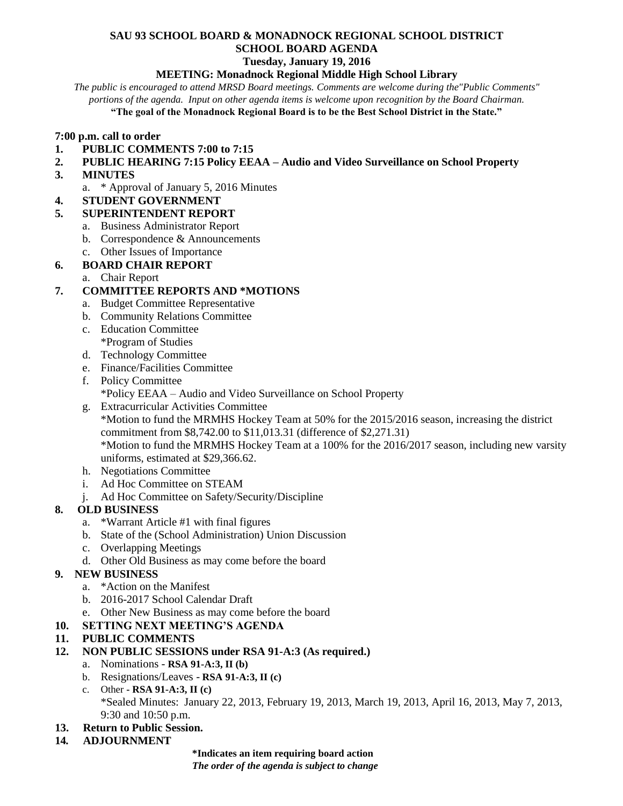# **SAU 93 SCHOOL BOARD & MONADNOCK REGIONAL SCHOOL DISTRICT SCHOOL BOARD AGENDA**

# **Tuesday, January 19, 2016**

#### **MEETING: Monadnock Regional Middle High School Library**

*The public is encouraged to attend MRSD Board meetings. Comments are welcome during the"Public Comments" portions of the agenda. Input on other agenda items is welcome upon recognition by the Board Chairman.* **"The goal of the Monadnock Regional Board is to be the Best School District in the State."**

#### **7:00 p.m. call to order**

- **1. PUBLIC COMMENTS 7:00 to 7:15**
- **2. PUBLIC HEARING 7:15 Policy EEAA – Audio and Video Surveillance on School Property**
- **3. MINUTES** 
	- a. \* Approval of January 5, 2016 Minutes

### **4. STUDENT GOVERNMENT**

- **5. SUPERINTENDENT REPORT**
	- a. Business Administrator Report
	- b. Correspondence & Announcements
	- c. Other Issues of Importance
- **6. BOARD CHAIR REPORT**
	- a. Chair Report

### **7. COMMITTEE REPORTS AND \*MOTIONS**

- a. Budget Committee Representative
- b. Community Relations Committee
- c. Education Committee
	- \*Program of Studies
- d. Technology Committee
- e. Finance/Facilities Committee
- f. Policy Committee \*Policy EEAA – Audio and Video Surveillance on School Property
- g. Extracurricular Activities Committee \*Motion to fund the MRMHS Hockey Team at 50% for the 2015/2016 season, increasing the district commitment from \$8,742.00 to \$11,013.31 (difference of \$2,271.31) \*Motion to fund the MRMHS Hockey Team at a 100% for the 2016/2017 season, including new varsity uniforms, estimated at \$29,366.62.
- h. Negotiations Committee
- i. Ad Hoc Committee on STEAM
- j. Ad Hoc Committee on Safety/Security/Discipline

### **8. OLD BUSINESS**

- a. \*Warrant Article #1 with final figures
- b. State of the (School Administration) Union Discussion
- c. Overlapping Meetings
- d. Other Old Business as may come before the board

### **9. NEW BUSINESS**

- a. \*Action on the Manifest
- b. 2016-2017 School Calendar Draft
- e. Other New Business as may come before the board
- **10. SETTING NEXT MEETING'S AGENDA**

### **11. PUBLIC COMMENTS**

- **12. NON PUBLIC SESSIONS under RSA 91-A:3 (As required.)**
	- a. Nominations **RSA 91-A:3, II (b)**
	- b. Resignations/Leaves **RSA 91-A:3, II (c)**
	- c. Other **- RSA 91-A:3, II (c)** \*Sealed Minutes: January 22, 2013, February 19, 2013, March 19, 2013, April 16, 2013, May 7, 2013, 9:30 and 10:50 p.m.

### **13. Return to Public Session.**

**14***.* **ADJOURNMENT**

**\*Indicates an item requiring board action** *The order of the agenda is subject to change*